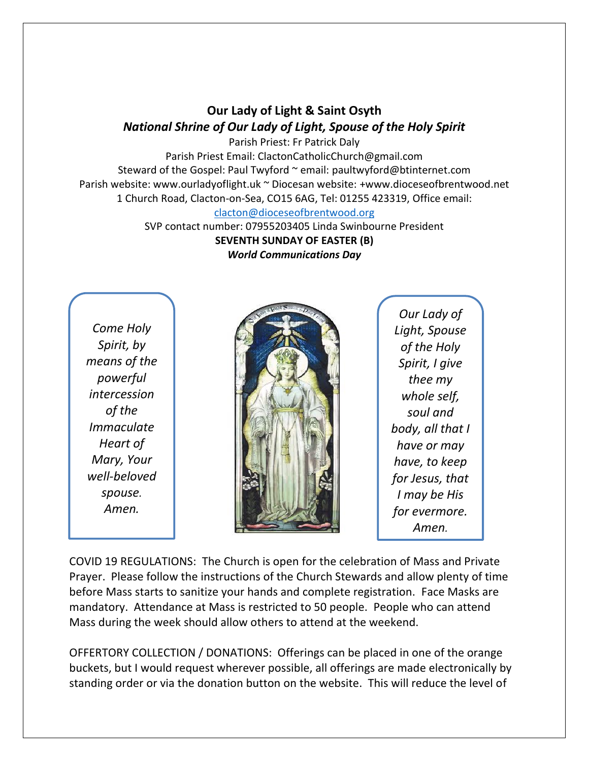## **Our Lady of Light & Saint Osyth** *National Shrine of Our Lady of Light, Spouse of the Holy Spirit*

Parish Priest: Fr Patrick Daly Parish Priest Email: ClactonCatholicChurch@gmail.com Steward of the Gospel: Paul Twyford ~ email: paultwyford@btinternet.com Parish website: www.ourladyoflight.uk ~ Diocesan website: +www.dioceseofbrentwood.net 1 Church Road, Clacton-on-Sea, CO15 6AG, Tel: 01255 423319, Office email: [clacton@dioceseofbrentwood.org](mailto:clacton@dioceseofbrentwood.org)

> SVP contact number: 07955203405 Linda Swinbourne President **SEVENTH SUNDAY OF EASTER (B)** *World Communications Day*

*Come Holy Spirit, by means of the powerful intercession of the Immaculate Heart of Mary, Your well-beloved spouse. Amen.*



*Our Lady of Light, Spouse of the Holy Spirit, I give thee my whole self, soul and body, all that I have or may have, to keep for Jesus, that I may be His for evermore. Amen.*

COVID 19 REGULATIONS: The Church is open for the celebration of Mass and Private Prayer. Please follow the instructions of the Church Stewards and allow plenty of time before Mass starts to sanitize your hands and complete registration. Face Masks are mandatory. Attendance at Mass is restricted to 50 people. People who can attend Mass during the week should allow others to attend at the weekend.

OFFERTORY COLLECTION / DONATIONS: Offerings can be placed in one of the orange buckets, but I would request wherever possible, all offerings are made electronically by standing order or via the donation button on the website. This will reduce the level of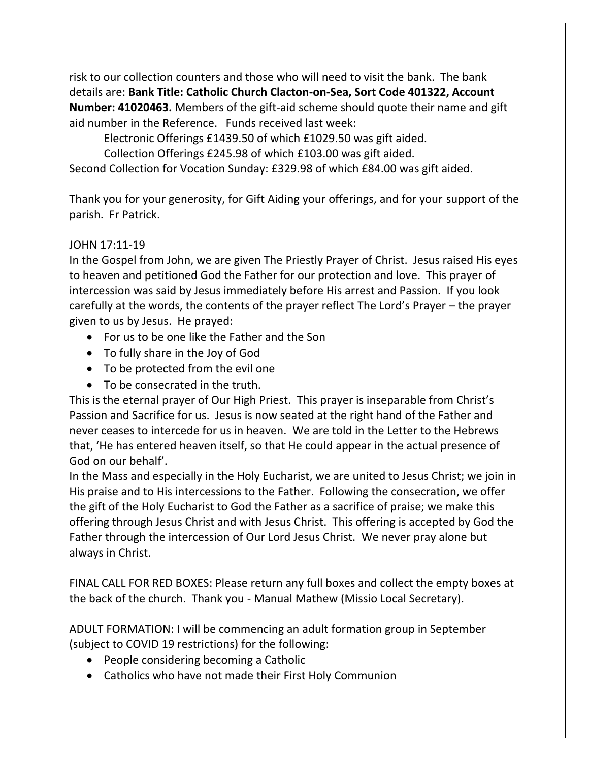risk to our collection counters and those who will need to visit the bank. The bank details are: **Bank Title: Catholic Church Clacton-on-Sea, Sort Code 401322, Account Number: 41020463.** Members of the gift-aid scheme should quote their name and gift aid number in the Reference. Funds received last week:

Electronic Offerings £1439.50 of which £1029.50 was gift aided.

Collection Offerings £245.98 of which £103.00 was gift aided.

Second Collection for Vocation Sunday: £329.98 of which £84.00 was gift aided.

Thank you for your generosity, for Gift Aiding your offerings, and for your support of the parish. Fr Patrick.

## JOHN 17:11-19

In the Gospel from John, we are given The Priestly Prayer of Christ. Jesus raised His eyes to heaven and petitioned God the Father for our protection and love. This prayer of intercession was said by Jesus immediately before His arrest and Passion. If you look carefully at the words, the contents of the prayer reflect The Lord's Prayer – the prayer given to us by Jesus. He prayed:

- For us to be one like the Father and the Son
- To fully share in the Joy of God
- To be protected from the evil one
- To be consecrated in the truth.

This is the eternal prayer of Our High Priest. This prayer is inseparable from Christ's Passion and Sacrifice for us. Jesus is now seated at the right hand of the Father and never ceases to intercede for us in heaven. We are told in the Letter to the Hebrews that, 'He has entered heaven itself, so that He could appear in the actual presence of God on our behalf'.

In the Mass and especially in the Holy Eucharist, we are united to Jesus Christ; we join in His praise and to His intercessions to the Father. Following the consecration, we offer the gift of the Holy Eucharist to God the Father as a sacrifice of praise; we make this offering through Jesus Christ and with Jesus Christ. This offering is accepted by God the Father through the intercession of Our Lord Jesus Christ. We never pray alone but always in Christ.

FINAL CALL FOR RED BOXES: Please return any full boxes and collect the empty boxes at the back of the church. Thank you - Manual Mathew (Missio Local Secretary).

ADULT FORMATION: I will be commencing an adult formation group in September (subject to COVID 19 restrictions) for the following:

- People considering becoming a Catholic
- Catholics who have not made their First Holy Communion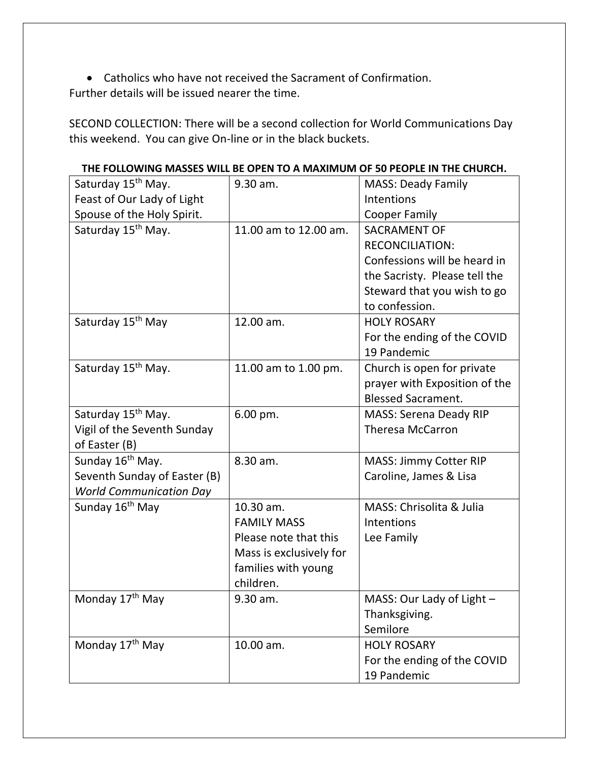• Catholics who have not received the Sacrament of Confirmation. Further details will be issued nearer the time.

SECOND COLLECTION: There will be a second collection for World Communications Day this weekend. You can give On-line or in the black buckets.

| Saturday 15 <sup>th</sup> May. | 9.30 am.                | <b>MASS: Deady Family</b>     |
|--------------------------------|-------------------------|-------------------------------|
| Feast of Our Lady of Light     |                         | Intentions                    |
| Spouse of the Holy Spirit.     |                         | <b>Cooper Family</b>          |
| Saturday 15 <sup>th</sup> May. | 11.00 am to 12.00 am.   | <b>SACRAMENT OF</b>           |
|                                |                         | <b>RECONCILIATION:</b>        |
|                                |                         | Confessions will be heard in  |
|                                |                         | the Sacristy. Please tell the |
|                                |                         | Steward that you wish to go   |
|                                |                         | to confession.                |
| Saturday 15 <sup>th</sup> May  | 12.00 am.               | <b>HOLY ROSARY</b>            |
|                                |                         | For the ending of the COVID   |
|                                |                         | 19 Pandemic                   |
| Saturday 15 <sup>th</sup> May. | 11.00 am to 1.00 pm.    | Church is open for private    |
|                                |                         | prayer with Exposition of the |
|                                |                         | <b>Blessed Sacrament.</b>     |
| Saturday 15 <sup>th</sup> May. | 6.00 pm.                | <b>MASS: Serena Deady RIP</b> |
| Vigil of the Seventh Sunday    |                         | <b>Theresa McCarron</b>       |
| of Easter (B)                  |                         |                               |
| Sunday 16 <sup>th</sup> May.   | 8.30 am.                | <b>MASS: Jimmy Cotter RIP</b> |
| Seventh Sunday of Easter (B)   |                         | Caroline, James & Lisa        |
| <b>World Communication Day</b> |                         |                               |
| Sunday 16 <sup>th</sup> May    | 10.30 am.               | MASS: Chrisolita & Julia      |
|                                | <b>FAMILY MASS</b>      | Intentions                    |
|                                | Please note that this   | Lee Family                    |
|                                | Mass is exclusively for |                               |
|                                | families with young     |                               |
|                                | children.               |                               |
| Monday 17 <sup>th</sup> May    | 9.30 am.                | MASS: Our Lady of Light -     |
|                                |                         | Thanksgiving.                 |
|                                |                         | Semilore                      |
| Monday 17 <sup>th</sup> May    | 10.00 am.               | <b>HOLY ROSARY</b>            |
|                                |                         | For the ending of the COVID   |
|                                |                         | 19 Pandemic                   |

**THE FOLLOWING MASSES WILL BE OPEN TO A MAXIMUM OF 50 PEOPLE IN THE CHURCH.**